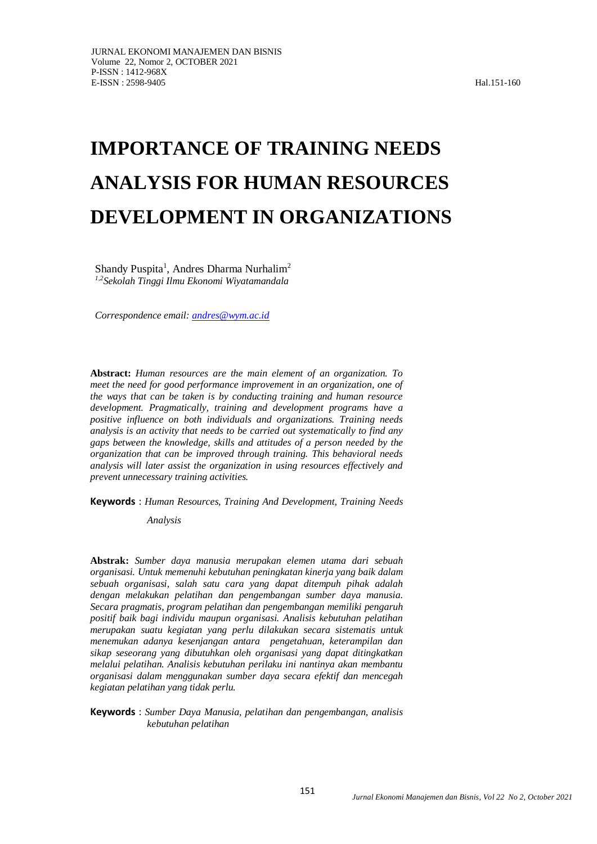# **IMPORTANCE OF TRAINING NEEDS ANALYSIS FOR HUMAN RESOURCES DEVELOPMENT IN ORGANIZATIONS**

Shandy Puspita<sup>1</sup>, Andres Dharma Nurhalim<sup>2</sup> *1,2Sekolah Tinggi Ilmu Ekonomi Wiyatamandala* 

*Correspondence email[: andres@wym.ac.id](mailto:andres@wym.ac.id)*

**Abstract:** *Human resources are the main element of an organization. To meet the need for good performance improvement in an organization, one of the ways that can be taken is by conducting training and human resource development. Pragmatically, training and development programs have a positive influence on both individuals and organizations. Training needs analysis is an activity that needs to be carried out systematically to find any gaps between the knowledge, skills and attitudes of a person needed by the organization that can be improved through training. This behavioral needs analysis will later assist the organization in using resources effectively and prevent unnecessary training activities.*

**Keywords** : *Human Resources, Training And Development, Training Needs* 

*Analysis*

**Abstrak:** *Sumber daya manusia merupakan elemen utama dari sebuah organisasi. Untuk memenuhi kebutuhan peningkatan kinerja yang baik dalam sebuah organisasi, salah satu cara yang dapat ditempuh pihak adalah dengan melakukan pelatihan dan pengembangan sumber daya manusia. Secara pragmatis, program pelatihan dan pengembangan memiliki pengaruh positif baik bagi individu maupun organisasi. Analisis kebutuhan pelatihan merupakan suatu kegiatan yang perlu dilakukan secara sistematis untuk menemukan adanya kesenjangan antara pengetahuan, keterampilan dan sikap seseorang yang dibutuhkan oleh organisasi yang dapat ditingkatkan melalui pelatihan. Analisis kebutuhan perilaku ini nantinya akan membantu organisasi dalam menggunakan sumber daya secara efektif dan mencegah kegiatan pelatihan yang tidak perlu.*

#### **Keywords** : *Sumber Daya Manusia, pelatihan dan pengembangan, analisis kebutuhan pelatihan*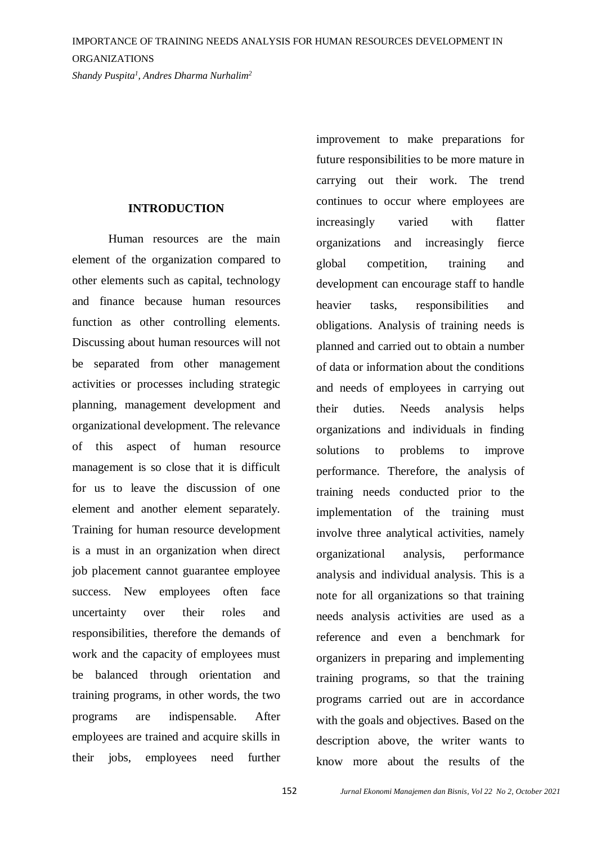#### **INTRODUCTION**

Human resources are the main element of the organization compared to other elements such as capital, technology and finance because human resources function as other controlling elements. Discussing about human resources will not be separated from other management activities or processes including strategic planning, management development and organizational development. The relevance of this aspect of human resource management is so close that it is difficult for us to leave the discussion of one element and another element separately. Training for human resource development is a must in an organization when direct job placement cannot guarantee employee success. New employees often face uncertainty over their roles and responsibilities, therefore the demands of work and the capacity of employees must be balanced through orientation and training programs, in other words, the two programs are indispensable. After employees are trained and acquire skills in their jobs, employees need further

improvement to make preparations for future responsibilities to be more mature in carrying out their work. The trend continues to occur where employees are increasingly varied with flatter organizations and increasingly fierce global competition, training and development can encourage staff to handle heavier tasks, responsibilities and obligations. Analysis of training needs is planned and carried out to obtain a number of data or information about the conditions and needs of employees in carrying out their duties. Needs analysis helps organizations and individuals in finding solutions to problems to improve performance. Therefore, the analysis of training needs conducted prior to the implementation of the training must involve three analytical activities, namely organizational analysis, performance analysis and individual analysis. This is a note for all organizations so that training needs analysis activities are used as a reference and even a benchmark for organizers in preparing and implementing training programs, so that the training programs carried out are in accordance with the goals and objectives. Based on the description above, the writer wants to know more about the results of the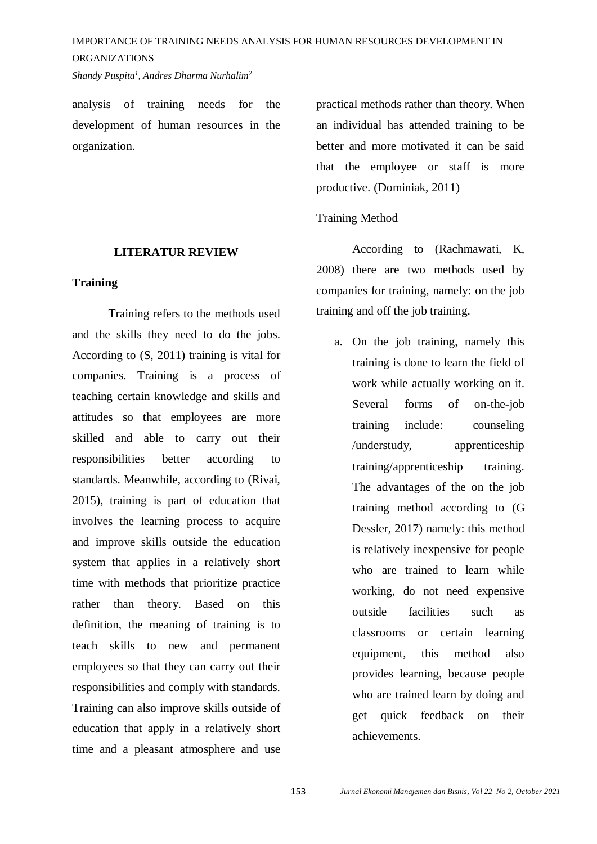analysis of training needs for the development of human resources in the organization.

#### **LITERATUR REVIEW**

#### **Training**

Training refers to the methods used and the skills they need to do the jobs. According to (S, 2011) training is vital for companies. Training is a process of teaching certain knowledge and skills and attitudes so that employees are more skilled and able to carry out their responsibilities better according to standards. Meanwhile, according to (Rivai, 2015), training is part of education that involves the learning process to acquire and improve skills outside the education system that applies in a relatively short time with methods that prioritize practice rather than theory. Based on this definition, the meaning of training is to teach skills to new and permanent employees so that they can carry out their responsibilities and comply with standards. Training can also improve skills outside of education that apply in a relatively short time and a pleasant atmosphere and use

practical methods rather than theory. When an individual has attended training to be better and more motivated it can be said that the employee or staff is more productive. (Dominiak, 2011)

### Training Method

According to (Rachmawati, K, 2008) there are two methods used by companies for training, namely: on the job training and off the job training.

a. On the job training, namely this training is done to learn the field of work while actually working on it. Several forms of on-the-job training include: counseling /understudy, apprenticeship training/apprenticeship training. The advantages of the on the job training method according to (G Dessler, 2017) namely: this method is relatively inexpensive for people who are trained to learn while working, do not need expensive outside facilities such as classrooms or certain learning equipment, this method also provides learning, because people who are trained learn by doing and get quick feedback on their achievements.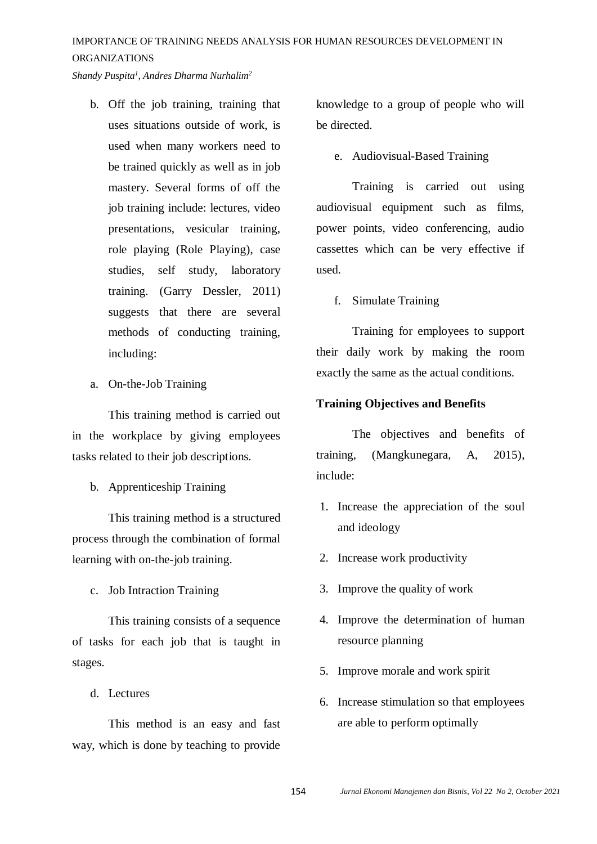- b. Off the job training, training that uses situations outside of work, is used when many workers need to be trained quickly as well as in job mastery. Several forms of off the job training include: lectures, video presentations, vesicular training, role playing (Role Playing), case studies, self study, laboratory training. (Garry Dessler, 2011) suggests that there are several methods of conducting training, including:
- a. On-the-Job Training

This training method is carried out in the workplace by giving employees tasks related to their job descriptions.

b. Apprenticeship Training

This training method is a structured process through the combination of formal learning with on-the-job training.

c. Job Intraction Training

This training consists of a sequence of tasks for each job that is taught in stages.

d. Lectures

This method is an easy and fast way, which is done by teaching to provide

knowledge to a group of people who will be directed.

e. Audiovisual-Based Training

Training is carried out using audiovisual equipment such as films, power points, video conferencing, audio cassettes which can be very effective if used.

f. Simulate Training

Training for employees to support their daily work by making the room exactly the same as the actual conditions.

## **Training Objectives and Benefits**

The objectives and benefits of training, (Mangkunegara, A, 2015), include:

- 1. Increase the appreciation of the soul and ideology
- 2. Increase work productivity
- 3. Improve the quality of work
- 4. Improve the determination of human resource planning
- 5. Improve morale and work spirit
- 6. Increase stimulation so that employees are able to perform optimally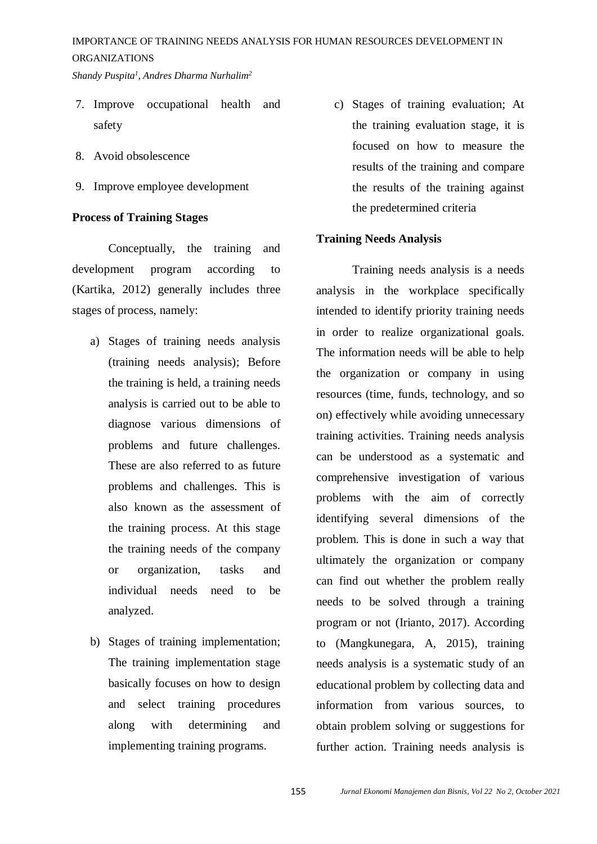- 7. Improve occupational health and safety
- 8. Avoid obsolescence
- 9. Improve employee development

### **Process of Training Stages**

Conceptually, the training and development program according to (Kartika, 2012) generally includes three stages of process, namely:

- a) Stages of training needs analysis (training needs analysis); Before the training is held, a training needs analysis is carried out to be able to diagnose various dimensions of problems and future challenges. These are also referred to as future problems and challenges. This is also known as the assessment of the training process. At this stage the training needs of the company or organization, tasks and individual needs need to be analyzed.
- b) Stages of training implementation; The training implementation stage basically focuses on how to design and select training procedures along with determining and implementing training programs.

c) Stages of training evaluation; At the training evaluation stage, it is focused on how to measure the results of the training and compare the results of the training against the predetermined criteria

### **Training Needs Analysis**

Training needs analysis is a needs analysis in the workplace specifically intended to identify priority training needs in order to realize organizational goals. The information needs will be able to help the organization or company in using resources (time, funds, technology, and so on) effectively while avoiding unnecessary training activities. Training needs analysis can be understood as a systematic and comprehensive investigation of various problems with the aim of correctly identifying several dimensions of the problem. This is done in such a way that ultimately the organization or company can find out whether the problem really needs to be solved through a training program or not (Irianto, 2017). According to (Mangkunegara, A, 2015), training needs analysis is a systematic study of an educational problem by collecting data and information from various sources, to obtain problem solving or suggestions for further action. Training needs analysis is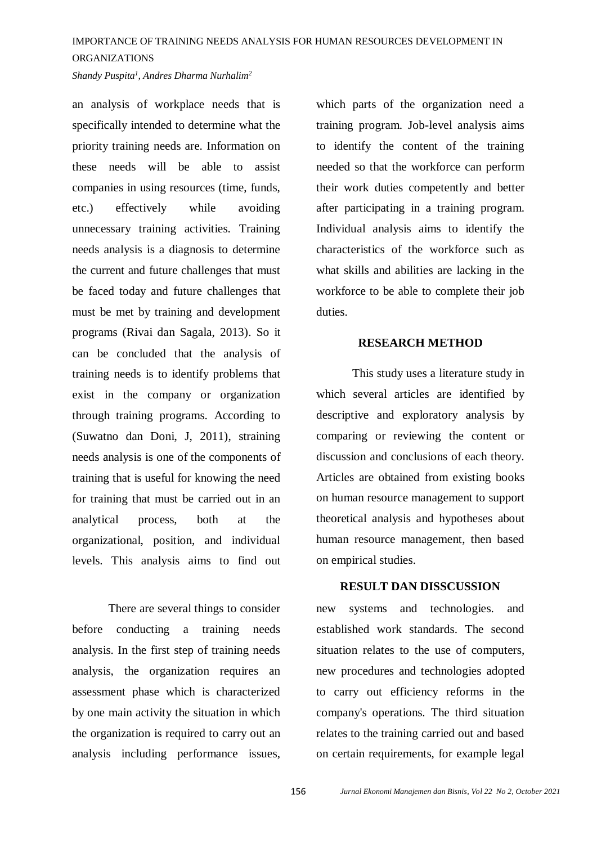an analysis of workplace needs that is specifically intended to determine what the priority training needs are. Information on these needs will be able to assist companies in using resources (time, funds, etc.) effectively while avoiding unnecessary training activities. Training needs analysis is a diagnosis to determine the current and future challenges that must be faced today and future challenges that must be met by training and development programs (Rivai dan Sagala, 2013). So it can be concluded that the analysis of training needs is to identify problems that exist in the company or organization through training programs. According to (Suwatno dan Doni, J, 2011), straining needs analysis is one of the components of training that is useful for knowing the need for training that must be carried out in an analytical process, both at the organizational, position, and individual levels. This analysis aims to find out

There are several things to consider before conducting a training needs analysis. In the first step of training needs analysis, the organization requires an assessment phase which is characterized by one main activity the situation in which the organization is required to carry out an analysis including performance issues,

which parts of the organization need a training program. Job-level analysis aims to identify the content of the training needed so that the workforce can perform their work duties competently and better after participating in a training program. Individual analysis aims to identify the characteristics of the workforce such as what skills and abilities are lacking in the workforce to be able to complete their job duties.

#### **RESEARCH METHOD**

This study uses a literature study in which several articles are identified by descriptive and exploratory analysis by comparing or reviewing the content or discussion and conclusions of each theory. Articles are obtained from existing books on human resource management to support theoretical analysis and hypotheses about human resource management, then based on empirical studies.

#### **RESULT DAN DISSCUSSION**

new systems and technologies. and established work standards. The second situation relates to the use of computers, new procedures and technologies adopted to carry out efficiency reforms in the company's operations. The third situation relates to the training carried out and based on certain requirements, for example legal

156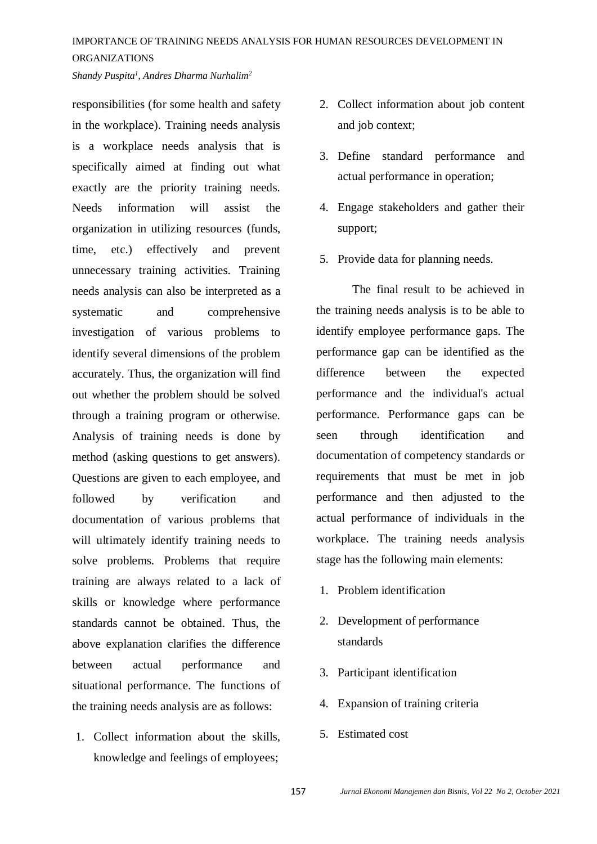responsibilities (for some health and safety in the workplace). Training needs analysis is a workplace needs analysis that is specifically aimed at finding out what exactly are the priority training needs. Needs information will assist the organization in utilizing resources (funds, time, etc.) effectively and prevent unnecessary training activities. Training needs analysis can also be interpreted as a systematic and comprehensive investigation of various problems to identify several dimensions of the problem accurately. Thus, the organization will find out whether the problem should be solved through a training program or otherwise. Analysis of training needs is done by method (asking questions to get answers). Questions are given to each employee, and followed by verification and documentation of various problems that will ultimately identify training needs to solve problems. Problems that require training are always related to a lack of skills or knowledge where performance standards cannot be obtained. Thus, the above explanation clarifies the difference between actual performance and situational performance. The functions of the training needs analysis are as follows:

1. Collect information about the skills, knowledge and feelings of employees;

- 2. Collect information about job content and job context;
- 3. Define standard performance and actual performance in operation;
- 4. Engage stakeholders and gather their support;
- 5. Provide data for planning needs.

The final result to be achieved in the training needs analysis is to be able to identify employee performance gaps. The performance gap can be identified as the difference between the expected performance and the individual's actual performance. Performance gaps can be seen through identification and documentation of competency standards or requirements that must be met in job performance and then adjusted to the actual performance of individuals in the workplace. The training needs analysis stage has the following main elements:

- 1. Problem identification
- 2. Development of performance standards
- 3. Participant identification
- 4. Expansion of training criteria
- 5. Estimated cost

157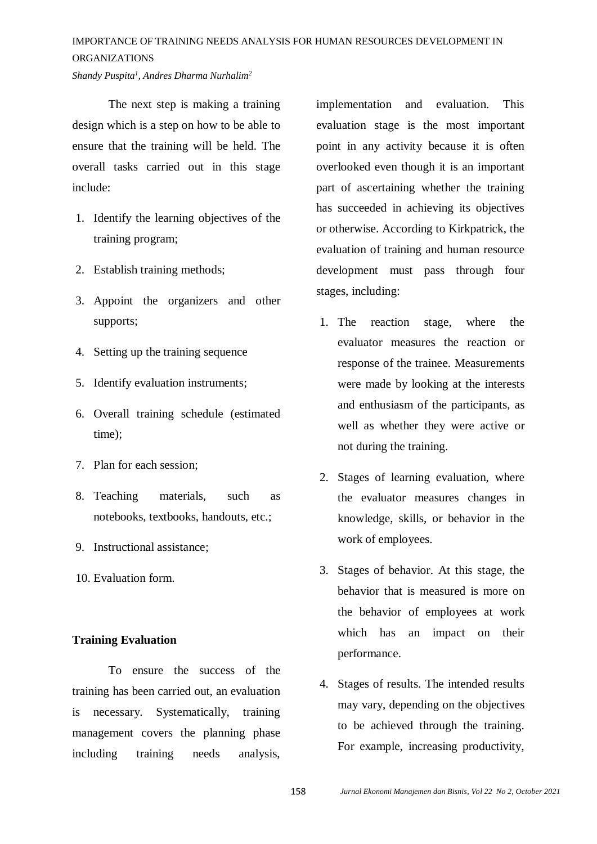The next step is making a training design which is a step on how to be able to ensure that the training will be held. The overall tasks carried out in this stage include:

- 1. Identify the learning objectives of the training program;
- 2. Establish training methods;
- 3. Appoint the organizers and other supports;
- 4. Setting up the training sequence
- 5. Identify evaluation instruments;
- 6. Overall training schedule (estimated time);
- 7. Plan for each session;
- 8. Teaching materials, such as notebooks, textbooks, handouts, etc.;
- 9. Instructional assistance;
- 10. Evaluation form.

# **Training Evaluation**

To ensure the success of the training has been carried out, an evaluation is necessary. Systematically, training management covers the planning phase including training needs analysis,

implementation and evaluation. This evaluation stage is the most important point in any activity because it is often overlooked even though it is an important part of ascertaining whether the training has succeeded in achieving its objectives or otherwise. According to Kirkpatrick, the evaluation of training and human resource development must pass through four stages, including:

- 1. The reaction stage, where the evaluator measures the reaction or response of the trainee. Measurements were made by looking at the interests and enthusiasm of the participants, as well as whether they were active or not during the training.
- 2. Stages of learning evaluation, where the evaluator measures changes in knowledge, skills, or behavior in the work of employees.
- 3. Stages of behavior. At this stage, the behavior that is measured is more on the behavior of employees at work which has an impact on their performance.
- 4. Stages of results. The intended results may vary, depending on the objectives to be achieved through the training. For example, increasing productivity,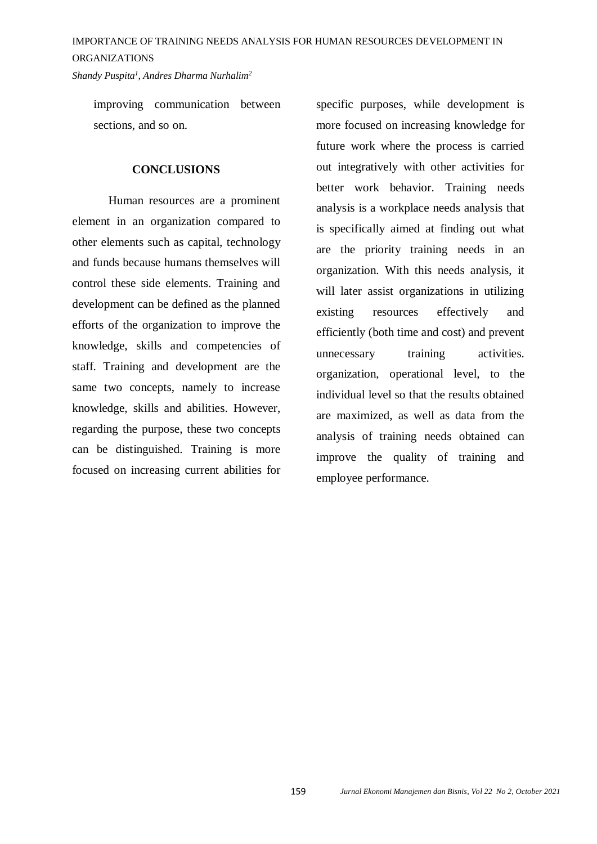# IMPORTANCE OF TRAINING NEEDS ANALYSIS FOR HUMAN RESOURCES DEVELOPMENT IN ORGANIZATIONS

*Shandy Puspita<sup>1</sup> , Andres Dharma Nurhalim<sup>2</sup>*

improving communication between sections, and so on.

#### **CONCLUSIONS**

Human resources are a prominent element in an organization compared to other elements such as capital, technology and funds because humans themselves will control these side elements. Training and development can be defined as the planned efforts of the organization to improve the knowledge, skills and competencies of staff. Training and development are the same two concepts, namely to increase knowledge, skills and abilities. However, regarding the purpose, these two concepts can be distinguished. Training is more focused on increasing current abilities for specific purposes, while development is more focused on increasing knowledge for future work where the process is carried out integratively with other activities for better work behavior. Training needs analysis is a workplace needs analysis that is specifically aimed at finding out what are the priority training needs in an organization. With this needs analysis, it will later assist organizations in utilizing existing resources effectively and efficiently (both time and cost) and prevent unnecessary training activities. organization, operational level, to the individual level so that the results obtained are maximized, as well as data from the analysis of training needs obtained can improve the quality of training and employee performance.